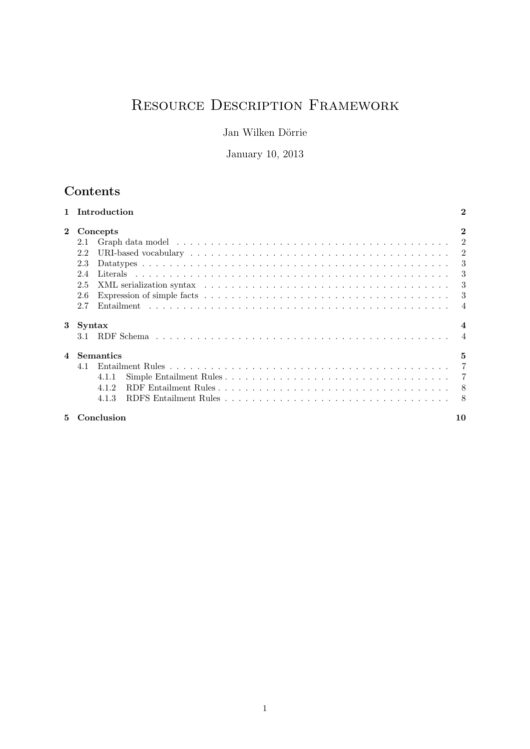# Resource Description Framework

Jan Wilken Dörrie

January 10, 2013

# Contents

|                         | Introduction                                                                                                                                                                                                                          | $\bf{2}$ |
|-------------------------|---------------------------------------------------------------------------------------------------------------------------------------------------------------------------------------------------------------------------------------|----------|
| $\mathbf{2}$            | Concepts                                                                                                                                                                                                                              |          |
|                         | Graph data model in the contract of the contract of the contract of the contract of the contract of the contract of the contract of the contract of the contract of the contract of the contract of the contract of the contra<br>2.1 | 2        |
|                         | URI-based vocabulary $\ldots \ldots \ldots \ldots \ldots \ldots \ldots \ldots \ldots \ldots \ldots \ldots \ldots 2$<br>2.2                                                                                                            |          |
|                         | 2.3                                                                                                                                                                                                                                   | 3        |
|                         | 2.4                                                                                                                                                                                                                                   | 3        |
|                         | 2.5                                                                                                                                                                                                                                   | -3       |
|                         | 2.6                                                                                                                                                                                                                                   | -3       |
|                         | 2.7                                                                                                                                                                                                                                   |          |
| 3                       | Syntax                                                                                                                                                                                                                                |          |
|                         | 3.1                                                                                                                                                                                                                                   |          |
| $\overline{\mathbf{4}}$ | <b>Semantics</b>                                                                                                                                                                                                                      | 5        |
|                         | 4.1                                                                                                                                                                                                                                   |          |
|                         | 4.1.1                                                                                                                                                                                                                                 |          |
|                         | 4.1.2                                                                                                                                                                                                                                 |          |
|                         | 4.1.3                                                                                                                                                                                                                                 | -8       |
| 5                       | Conclusion                                                                                                                                                                                                                            | 10       |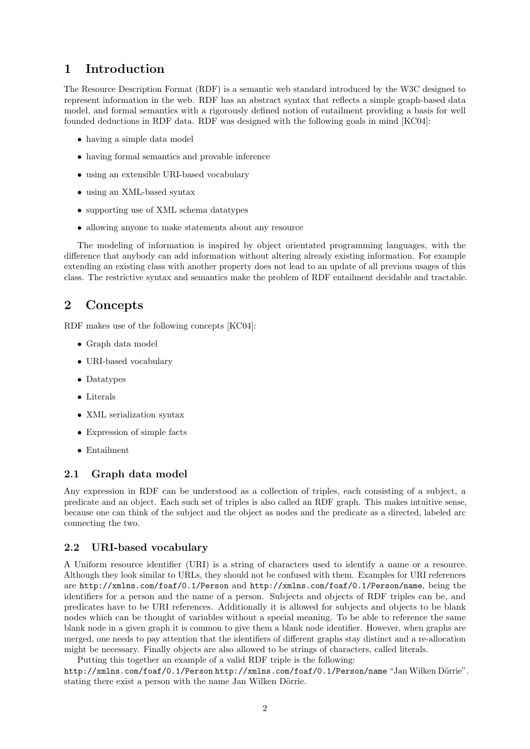# <span id="page-1-0"></span>1 Introduction

The Resource Description Format (RDF) is a semantic web standard introduced by the W3C designed to represent information in the web. RDF has an abstract syntax that reflects a simple graph-based data model, and formal semantics with a rigorously defined notion of entailment providing a basis for well founded deductions in RDF data. RDF was designed with the following goals in mind [\[KC04\]](#page-9-1):

- having a simple data model
- having formal semantics and provable inference
- using an extensible URI-based vocabulary
- using an XML-based syntax
- supporting use of XML schema datatypes
- allowing anyone to make statements about any resource

The modeling of information is inspired by object orientated programming languages, with the difference that anybody can add information without altering already existing information. For example extending an existing class with another property does not lead to an update of all previous usages of this class. The restrictive syntax and semantics make the problem of RDF entailment decidable and tractable.

### <span id="page-1-1"></span>2 Concepts

RDF makes use of the following concepts [\[KC04\]](#page-9-1):

- Graph data model
- URI-based vocabulary
- Datatypes
- Literals
- XML serialization syntax
- Expression of simple facts
- Entailment

### <span id="page-1-2"></span>2.1 Graph data model

Any expression in RDF can be understood as a collection of triples, each consisting of a subject, a predicate and an object. Each such set of triples is also called an RDF graph. This makes intuitive sense, because one can think of the subject and the object as nodes and the predicate as a directed, labeled arc connecting the two.

#### <span id="page-1-3"></span>2.2 URI-based vocabulary

A Uniform resource identifier (URI) is a string of characters used to identify a name or a resource. Although they look similar to URLs, they should not be confused with them. Examples for URI references are http://xmlns.com/foaf/0.1/Person and http://xmlns.com/foaf/0.1/Person/name, being the identifiers for a person and the name of a person. Subjects and objects of RDF triples can be, and predicates have to be URI references. Additionally it is allowed for subjects and objects to be blank nodes which can be thought of variables without a special meaning. To be able to reference the same blank node in a given graph it is common to give them a blank node identifier. However, when graphs are merged, one needs to pay attention that the identifiers of different graphs stay distinct and a re-allocation might be necessary. Finally objects are also allowed to be strings of characters, called literals.

Putting this together an example of a valid RDF triple is the following:

http://xmlns.com/foaf/0.1/Person http://xmlns.com/foaf/0.1/Person/name "Jan Wilken Dörrie". stating there exist a person with the name Jan Wilken Dörrie.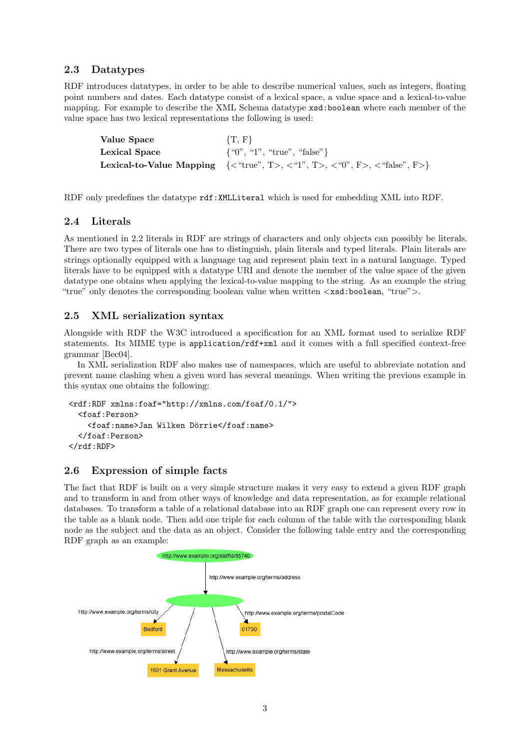### <span id="page-2-0"></span>2.3 Datatypes

RDF introduces datatypes, in order to be able to describe numerical values, such as integers, floating point numbers and dates. Each datatype consist of a lexical space, a value space and a lexical-to-value mapping. For example to describe the XML Schema datatype xsd:boolean where each member of the value space has two lexical representations the following is used:

| Value Space   | $\{T, F\}$                                                                                                           |
|---------------|----------------------------------------------------------------------------------------------------------------------|
| Lexical Space | $\{``0", "1", "true", "false"\}$                                                                                     |
|               | <b>Lexical-to-Value Mapping</b> $\{\langle$ "true", T>, $\langle$ "1", T>, $\langle$ "0", F>, $\langle$ "false", F>} |

RDF only predefines the datatype rdf:XMLLiteral which is used for embedding XML into RDF.

### <span id="page-2-1"></span>2.4 Literals

As mentioned in [2.2](#page-1-3) literals in RDF are strings of characters and only objects can possibly be literals. There are two types of literals one has to distinguish, plain literals and typed literals. Plain literals are strings optionally equipped with a language tag and represent plain text in a natural language. Typed literals have to be equipped with a datatype URI and denote the member of the value space of the given datatype one obtains when applying the lexical-to-value mapping to the string. As an example the string "true" only denotes the corresponding boolean value when written  $\langle x \cdot s \cdot d : b \cdot o \cdot d \rangle$ . "true">.

### <span id="page-2-2"></span>2.5 XML serialization syntax

Alongside with RDF the W3C introduced a specification for an XML format used to serialize RDF statements. Its MIME type is application/rdf+xml and it comes with a full specified context-free grammar [\[Bec04\]](#page-9-2).

In XML serialization RDF also makes use of namespaces, which are useful to abbreviate notation and prevent name clashing when a given word has several meanings. When writing the previous example in this syntax one obtains the following:

```
<rdf:RDF xmlns:foaf="http://xmlns.com/foaf/0.1/">
  <foaf:Person>
    <foaf:name>Jan Wilken Dörrie</foaf:name>
  </foaf:Person>
\langle \text{rdf:RDF} \rangle
```
### <span id="page-2-3"></span>2.6 Expression of simple facts

The fact that RDF is built on a very simple structure makes it very easy to extend a given RDF graph and to transform in and from other ways of knowledge and data representation, as for example relational databases. To transform a table of a relational database into an RDF graph one can represent every row in the table as a blank node. Then add one triple for each column of the table with the corresponding blank node as the subject and the data as an object. Consider the following table entry and the corresponding RDF graph as an example:

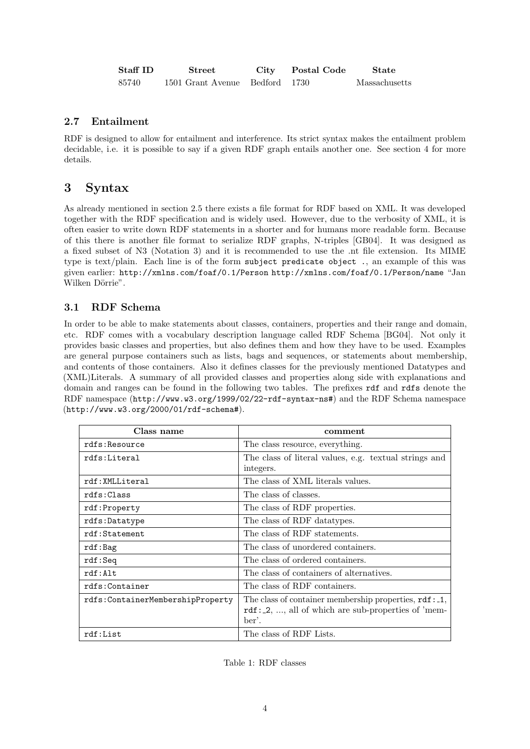| $\operatorname*{Staff}$ ID $\operatorname*{Ib}$ | <b>Street</b>                  | City | Postal Code | State         |
|-------------------------------------------------|--------------------------------|------|-------------|---------------|
| 85740                                           | 1501 Grant Avenue Bedford 1730 |      |             | Massachusetts |

### <span id="page-3-0"></span>2.7 Entailment

RDF is designed to allow for entailment and interference. Its strict syntax makes the entailment problem decidable, i.e. it is possible to say if a given RDF graph entails another one. See section [4](#page-4-0) for more details.

# <span id="page-3-1"></span>3 Syntax

As already mentioned in section [2.5](#page-2-2) there exists a file format for RDF based on XML. It was developed together with the RDF specification and is widely used. However, due to the verbosity of XML, it is often easier to write down RDF statements in a shorter and for humans more readable form. Because of this there is another file format to serialize RDF graphs, N-triples [\[GB04\]](#page-9-3). It was designed as a fixed subset of N3 (Notation 3) and it is recommended to use the .nt file extension. Its MIME type is text/plain. Each line is of the form subject predicate object ., an example of this was given earlier: http://xmlns.com/foaf/0.1/Person http://xmlns.com/foaf/0.1/Person/name "Jan Wilken Dörrie".

# <span id="page-3-2"></span>3.1 RDF Schema

In order to be able to make statements about classes, containers, properties and their range and domain, etc. RDF comes with a vocabulary description language called RDF Schema [\[BG04\]](#page-9-4). Not only it provides basic classes and properties, but also defines them and how they have to be used. Examples are general purpose containers such as lists, bags and sequences, or statements about membership, and contents of those containers. Also it defines classes for the previously mentioned Datatypes and (XML)Literals. A summary of all provided classes and properties along side with explanations and domain and ranges can be found in the following two tables. The prefixes rdf and rdfs denote the RDF namespace (http://www.w3.org/1999/02/22-rdf-syntax-ns#) and the RDF Schema namespace (http://www.w3.org/2000/01/rdf-schema#).

| Class name                       | comment                                                          |  |
|----------------------------------|------------------------------------------------------------------|--|
| rdfs:Resource                    | The class resource, everything.                                  |  |
| rdfs:Literal                     | The class of literal values, e.g. textual strings and            |  |
|                                  | integers.                                                        |  |
| rdf:XMLLiteral                   | The class of XML literals values.                                |  |
| rdfs:Class                       | The class of classes.                                            |  |
| rdf:Property                     | The class of RDF properties.                                     |  |
| rdfs:Datatype                    | The class of RDF data types.                                     |  |
| rdf:Statement                    | The class of RDF statements.                                     |  |
| rdf:Bag                          | The class of unordered containers.                               |  |
| rdf:Seq                          | The class of ordered containers.                                 |  |
| rdf:Alt                          | The class of containers of alternatives.                         |  |
| rdfs:Container                   | The class of RDF containers.                                     |  |
| rdfs:ContainerMembershipProperty | The class of container membership properties, $\texttt{rdf:1}$ , |  |
|                                  | $\texttt{rdf}$ : 2, , all of which are sub-properties of 'mem-   |  |
|                                  | ber'.                                                            |  |
| rdf:List                         | The class of RDF Lists.                                          |  |

Table 1: RDF classes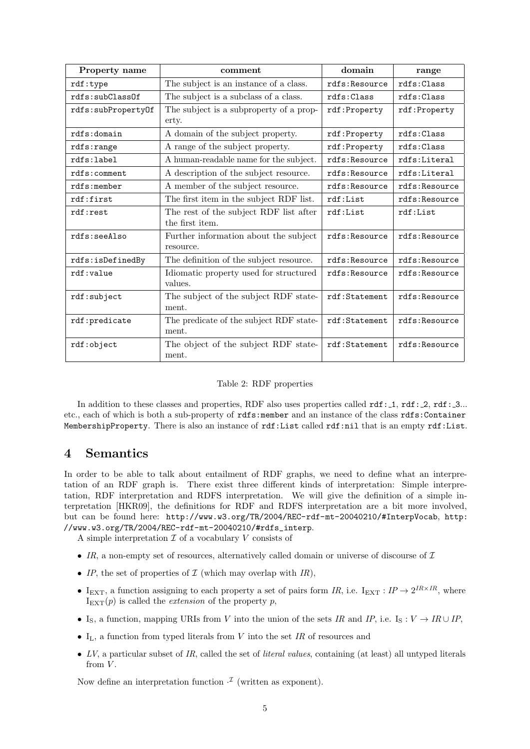| Property name                                                     | comment                                                   | domain        | range         |  |
|-------------------------------------------------------------------|-----------------------------------------------------------|---------------|---------------|--|
| rdf:type                                                          | The subject is an instance of a class.                    | rdfs:Resource | rdfs:Class    |  |
| rdfs:subC1ass0f                                                   | The subject is a subclass of a class.                     | rdfs:Class    | rdfs:Class    |  |
| rdfs:subPropertyOf                                                | The subject is a subproperty of a prop-<br>erty.          | rdf:Property  | rdf:Property  |  |
| rdfs:domain                                                       | A domain of the subject property.                         | rdf: Property | rdfs:Class    |  |
| rdfs:range                                                        | A range of the subject property.                          | rdf: Property | rdfs:Class    |  |
| rdfs:label                                                        | A human-readable name for the subject.                    | rdfs:Resource | rdfs:Literal  |  |
| rdfs:comment                                                      | A description of the subject resource.                    | rdfs:Resource | rdfs:Literal  |  |
| rdfs:member                                                       | A member of the subject resource.                         | rdfs:Resource | rdfs:Resource |  |
| rdf:first                                                         | The first item in the subject RDF list.                   | rdf:List      | rdfs:Resource |  |
| rdf:rest                                                          | The rest of the subject RDF list after<br>the first item. | rdf:List      | rdf:List      |  |
| rdfs:seeAlso                                                      | Further information about the subject<br>resource.        | rdfs:Resource | rdfs:Resource |  |
| rdfs:isDefinedBy                                                  | The definition of the subject resource.                   | rdfs:Resource | rdfs:Resource |  |
| rdf:value                                                         | Idiomatic property used for structured<br>values.         | rdfs:Resource | rdfs:Resource |  |
| rdf:subject                                                       | The subject of the subject RDF state-<br>ment.            | rdf:Statement | rdfs:Resource |  |
| The predicate of the subject RDF state-<br>rdf:predicate<br>ment. |                                                           | rdf:Statement | rdfs:Resource |  |
| The object of the subject RDF state-<br>rdf:object<br>ment.       |                                                           | rdf:Statement | rdfs:Resource |  |

|  |  |  | Table 2: RDF properties |
|--|--|--|-------------------------|
|--|--|--|-------------------------|

In addition to these classes and properties, RDF also uses properties called  $\text{rdf}$ : 1,  $\text{rdf}$ : 2,  $\text{rdf}$ : 3... etc., each of which is both a sub-property of rdfs:member and an instance of the class rdfs:Container MembershipProperty. There is also an instance of rdf:List called rdf:nil that is an empty rdf:List.

## <span id="page-4-0"></span>4 Semantics

In order to be able to talk about entailment of RDF graphs, we need to define what an interpretation of an RDF graph is. There exist three different kinds of interpretation: Simple interpretation, RDF interpretation and RDFS interpretation. We will give the definition of a simple interpretation [\[HKR09\]](#page-9-5), the definitions for RDF and RDFS interpretation are a bit more involved, but can be found here: <http://www.w3.org/TR/2004/REC-rdf-mt-20040210/#InterpVocab>, [http:](http://www.w3.org/TR/2004/REC-rdf-mt-20040210/#rdfs_interp) [//www.w3.org/TR/2004/REC-rdf-mt-20040210/#rdfs\\_interp](http://www.w3.org/TR/2004/REC-rdf-mt-20040210/#rdfs_interp).

A simple interpretation  $\mathcal I$  of a vocabulary  $V$  consists of

- IR, a non-empty set of resources, alternatively called domain or universe of discourse of  $\mathcal I$
- IP, the set of properties of  $\mathcal I$  (which may overlap with IR),
- I<sub>EXT</sub>, a function assigning to each property a set of pairs form IR, i.e. I<sub>EXT</sub>: IP  $\rightarrow 2^{IR \times IR}$ , where  $I_{\text{EXT}}(p)$  is called the *extension* of the property p,
- I<sub>S</sub>, a function, mapping URIs from V into the union of the sets IR and IP, i.e. I<sub>S</sub> : V  $\rightarrow$  IR ∪ IP,
- $I_L$ , a function from typed literals from V into the set IR of resources and
- $LV$ , a particular subset of IR, called the set of *literal values*, containing (at least) all untyped literals from  $V$ .

Now define an interpretation function  $\mathcal{I}$  (written as exponent).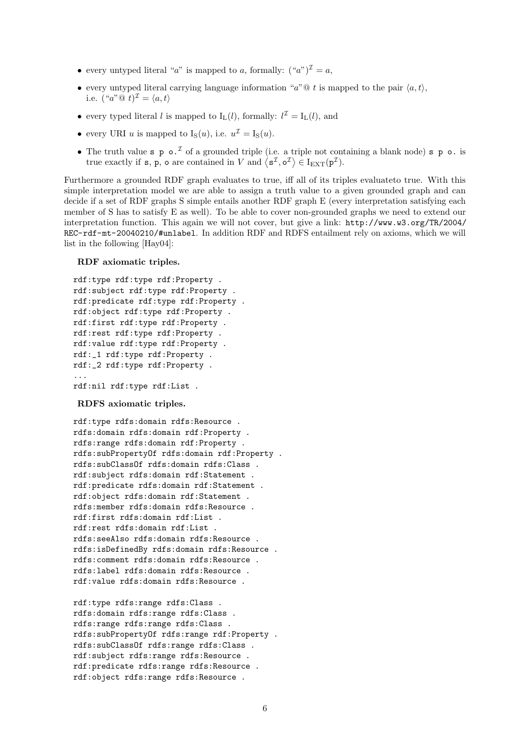- every untyped literal "a" is mapped to a, formally:  $({}``a")^{\mathcal{I}} = a$ ,
- every untyped literal carrying language information "a"  $\mathbb{Q}$  t is mapped to the pair  $\langle a, t \rangle$ , i.e.  $({}^{\omega}a^{\omega} @ t)^{\mathcal{I}} = \langle a, t \rangle$
- every typed literal l is mapped to  $I_L(l)$ , formally:  $l^{\mathcal{I}} = I_L(l)$ , and
- every URI u is mapped to  $I_S(u)$ , i.e.  $u^{\mathcal{I}} = I_S(u)$ .
- The truth value s p  $\circ$ . If a grounded triple (i.e. a triple not containing a blank node) s p  $\circ$  is true exactly if **s**, **p**, **o** are contained in V and  $\langle s^{\mathcal{I}}, o^{\mathcal{I}} \rangle \in I_{\text{EXT}}(p^{\mathcal{I}})$ .

Furthermore a grounded RDF graph evaluates to true, iff all of its triples evaluateto true. With this simple interpretation model we are able to assign a truth value to a given grounded graph and can decide if a set of RDF graphs S simple entails another RDF graph E (every interpretation satisfying each member of S has to satisfy E as well). To be able to cover non-grounded graphs we need to extend our interpretation function. This again we will not cover, but give a link: [http://www.w3.org/TR/2004/](http://www.w3.org/TR/2004/REC-rdf-mt-20040210/#unlabel) [REC-rdf-mt-20040210/#unlabel](http://www.w3.org/TR/2004/REC-rdf-mt-20040210/#unlabel). In addition RDF and RDFS entailment rely on axioms, which we will list in the following [\[Hay04\]](#page-9-6):

RDF axiomatic triples.

```
rdf:type rdf:type rdf:Property .
rdf:subject rdf:type rdf:Property .
rdf:predicate rdf:type rdf:Property .
rdf:object rdf:type rdf:Property .
rdf:first rdf:type rdf:Property .
rdf:rest rdf:type rdf:Property .
rdf:value rdf:type rdf:Property .
rdf:_1 rdf:type rdf:Property .
rdf:_2 rdf:type rdf:Property .
...
rdf:nil rdf:type rdf:List .
```
#### RDFS axiomatic triples.

rdf:type rdfs:domain rdfs:Resource . rdfs:domain rdfs:domain rdf:Property . rdfs:range rdfs:domain rdf:Property . rdfs:subPropertyOf rdfs:domain rdf:Property . rdfs:subClassOf rdfs:domain rdfs:Class . rdf:subject rdfs:domain rdf:Statement . rdf:predicate rdfs:domain rdf:Statement . rdf:object rdfs:domain rdf:Statement . rdfs:member rdfs:domain rdfs:Resource . rdf:first rdfs:domain rdf:List . rdf:rest rdfs:domain rdf:List . rdfs:seeAlso rdfs:domain rdfs:Resource . rdfs:isDefinedBy rdfs:domain rdfs:Resource . rdfs:comment rdfs:domain rdfs:Resource . rdfs:label rdfs:domain rdfs:Resource . rdf:value rdfs:domain rdfs:Resource .

rdf:type rdfs:range rdfs:Class . rdfs:domain rdfs:range rdfs:Class . rdfs:range rdfs:range rdfs:Class . rdfs:subPropertyOf rdfs:range rdf:Property . rdfs:subClassOf rdfs:range rdfs:Class . rdf:subject rdfs:range rdfs:Resource . rdf:predicate rdfs:range rdfs:Resource . rdf:object rdfs:range rdfs:Resource .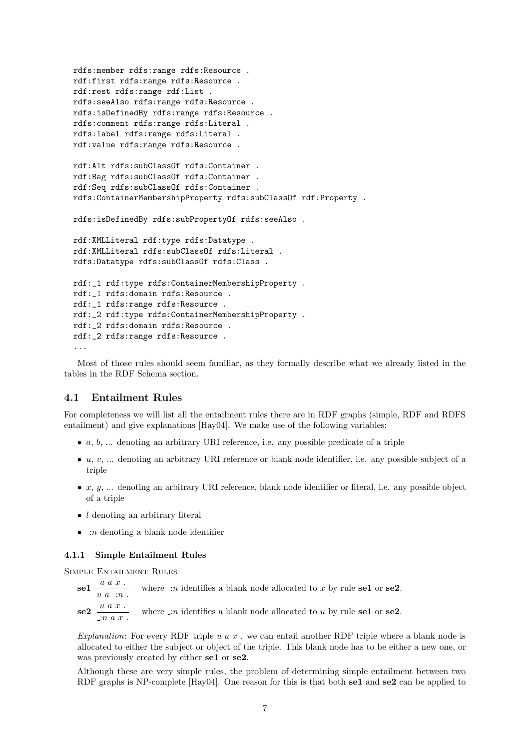```
rdfs:member rdfs:range rdfs:Resource .
rdf:first rdfs:range rdfs:Resource .
rdf:rest rdfs:range rdf:List .
rdfs:seeAlso rdfs:range rdfs:Resource .
rdfs:isDefinedBy rdfs:range rdfs:Resource .
rdfs:comment rdfs:range rdfs:Literal .
rdfs:label rdfs:range rdfs:Literal .
rdf:value rdfs:range rdfs:Resource .
rdf:Alt rdfs:subClassOf rdfs:Container .
rdf:Bag rdfs:subClassOf rdfs:Container .
rdf:Seq rdfs:subClassOf rdfs:Container .
rdfs:ContainerMembershipProperty rdfs:subClassOf rdf:Property .
rdfs:isDefinedBy rdfs:subPropertyOf rdfs:seeAlso .
rdf:XMLLiteral rdf:type rdfs:Datatype .
rdf:XMLLiteral rdfs:subClassOf rdfs:Literal .
rdfs:Datatype rdfs:subClassOf rdfs:Class .
rdf:_1 rdf:type rdfs:ContainerMembershipProperty .
rdf:_1 rdfs:domain rdfs:Resource .
rdf:_1 rdfs:range rdfs:Resource .
rdf:_2 rdf:type rdfs:ContainerMembershipProperty .
rdf:_2 rdfs:domain rdfs:Resource .
rdf:_2 rdfs:range rdfs:Resource .
...
```
Most of those rules should seem familiar, as they formally describe what we already listed in the tables in the RDF Schema section.

#### <span id="page-6-0"></span>4.1 Entailment Rules

For completeness we will list all the entailment rules there are in RDF graphs (simple, RDF and RDFS entailment) and give explanations [\[Hay04\]](#page-9-6). We make use of the following variables:

- $\bullet$  a, b, ... denoting an arbitrary URI reference, i.e. any possible predicate of a triple
- $\bullet$  u, v, ... denoting an arbitrary URI reference or blank node identifier, i.e. any possible subject of a triple
- $\bullet$  x, y, ... denoting an arbitrary URI reference, blank node identifier or literal, i.e. any possible object of a triple
- *l* denoting an arbitrary literal
- $\Box n$  denoting a blank node identifier

#### <span id="page-6-1"></span>4.1.1 Simple Entailment Rules

Simple Entailment Rules

- $\text{se1}$   $\frac{u\ a\ x}{}$ .  $u \ a \ \therefore n$ . where  $\Box n$  identifies a blank node allocated to x by rule se1 or se2.
- $se2 \frac{u \; a \; x}{}$ :n a x . where  $\Box n$  identifies a blank node allocated to u by rule se1 or se2.

Explanation: For every RDF triple u  $a \, x$ . we can entail another RDF triple where a blank node is allocated to either the subject or object of the triple. This blank node has to be either a new one, or was previously created by either se1 or se2.

Although these are very simple rules, the problem of determining simple entailment between two RDF graphs is NP-complete [\[Hay04\]](#page-9-6). One reason for this is that both se1 and se2 can be applied to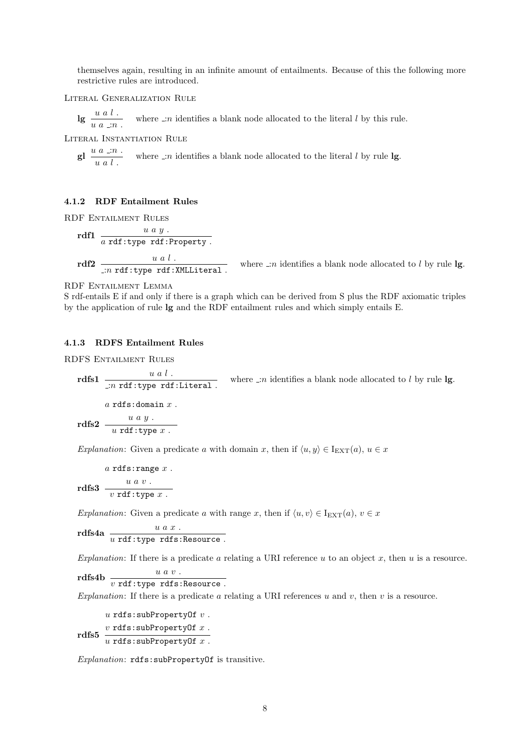themselves again, resulting in an infinite amount of entailments. Because of this the following more restrictive rules are introduced.

Literal Generalization Rule

lg  $\frac{u}{u} \frac{a}{a} \frac{l}{a}$  where  $\Box n$  identifies a blank node allocated to the literal l by this rule.

Literal Instantiation Rule

gl  $\frac{u}{u} \frac{a}{a} \frac{.}{.}$ where  $\lrcorner n$  identifies a blank node allocated to the literal  $l$  by rule  $\lg$ 

### <span id="page-7-0"></span>4.1.2 RDF Entailment Rules

RDF Entailment Rules

$$
\begin{array}{c}\n\text{rdf1} \quad u \, a \, y \, . \\
\hline\na \, \text{rdf:type rdf:Property.} \\
\text{rdf2} \quad \frac{u \, a \, l \, .}{...n \, \text{rdf:type rdf:XMLLiteral.}\n\end{array}
$$

where  $\Box n$  identifies a blank node allocated to l by rule lg.

RDF Entailment Lemma

S rdf-entails E if and only if there is a graph which can be derived from S plus the RDF axiomatic triples by the application of rule lg and the RDF entailment rules and which simply entails E.

#### <span id="page-7-1"></span>4.1.3 RDFS Entailment Rules

RDFS Entailment Rules

rdfs1  $\frac{u \ a \ l}{\ldots n \ r \cdot \text{d}f : \text{typer of} \ l \text{th} \text{d}f}$  where  $\ldots n$  identifies a blank node allocated to l by rule lg.

rdfs2  $a$  rdfs:domain  $x$ .  $u \ a \ y$ .  $u$  rdf:type  $x$ .

Explanation: Given a predicate a with domain x, then if  $\langle u, y \rangle \in I_{\text{EXT}}(a), u \in x$ 

 $a$  rdfs: range  $x$ .

$$
\text{rdfs3} \ \frac{u \ a \ v \ .}{v \ \text{rdf}: \text{type } x \ .}
$$

Explanation: Given a predicate a with range x, then if  $\langle u, v \rangle \in I_{\text{EXT}}(a), v \in x$ 

 $r$ dfs $4a$   $\frac{u}{u}$   $\frac{a}{u}$ :type  $r$ dfs:Resource.

Explanation: If there is a predicate a relating a URI reference  $u$  to an object  $x$ , then  $u$  is a resource.

 $r$ dfs $4b$   $\frac{u}{v}$  rdf:type rdfs:Resource.

Explanation: If there is a predicate a relating a URI references u and v, then v is a resource.

u rdfs:subPropertyOf  $v$ .

 $v$  rdfs:subPropertyOf x.<br>rdfs5  $\frac{v \text{ rds}}{v}$ u rdfs:subPropertyOf  $x$ .

Explanation: rdfs:subPropertyOf is transitive.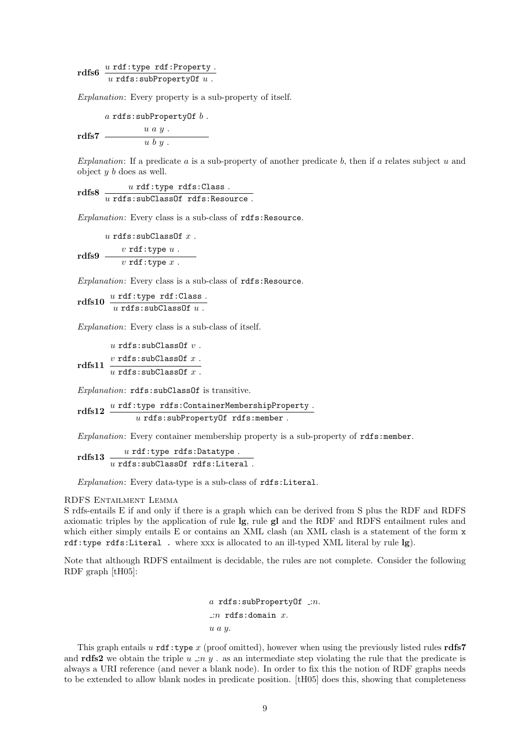rdfs6  $u \text{ rdf: type } \text{ rdf: Property}$ .<br>  $u \text{ rdfs: subPropertyOf } u$ .

Explanation: Every property is a sub-property of itself.

a rdfs:subPropertyOf  $b$ .

rdfs7  $u \ a \ y$ .  $u\;b\;y\;.$ 

Explanation: If a predicate  $a$  is a sub-property of another predicate  $b$ , then if  $a$  relates subject  $u$  and object  $y$   $b$  does as well.

 $r$ dfs8  $\frac{u \text{ rdf: type rdfs:Class.}}{u \text{ rdfs:subClassOf rdfs:Resource.}}$ 

Explanation: Every class is a sub-class of rdfs: Resource.

 $r$ dfs $9 \frac{v \text{ rdf:type } u}{\sqrt{v^2 + 4}}$ .  $u$ rdfs:subClassOf $x$  .  $v$  rdf:type  $x$ .

Explanation: Every class is a sub-class of rdfs:Resource.

 $rdfs10 \frac{u \text{ rdf}: \text{type} \text{ rdf}: \text{Class}}{u \text{ rdfs}: \text{subClassOf}} u$ .

Explanation: Every class is a sub-class of itself.

 $r$ dfs $11 \frac{v \text{ rds}:\text{subClassOf } x}{v \cdot \text{min} \cdot \text{min} \cdot \text{min}}$ u rdfs:subClassOf  $v$ .  $u$  rdfs:subClassOf  $x$ .

Explanation: rdfs:subClassOf is transitive.

rdfs12  $u$  rdf:type rdfs:ContainerMembershipProperty.  $u$  rdfs:subPropertyOf rdfs:member.

Explanation: Every container membership property is a sub-property of rdfs:member.

 ${\rm rdfs13}\ \frac{u\ {\rm rdf:type\ \textit{rdfs:Datatype}}}{u\ {\rm rdfs:subClassOf\ \textit{rdfs:Literal}}}\ .$ 

Explanation: Every data-type is a sub-class of rdfs:Literal.

RDFS Entailment Lemma

S rdfs-entails E if and only if there is a graph which can be derived from S plus the RDF and RDFS axiomatic triples by the application of rule lg, rule gl and the RDF and RDFS entailment rules and which either simply entails E or contains an XML clash (an XML clash is a statement of the form  $x$ rdf:type rdfs:Literal . where xxx is allocated to an ill-typed XML literal by rule lg).

Note that although RDFS entailment is decidable, the rules are not complete. Consider the following RDF graph [\[tH05\]](#page-9-7):

> a rdfs:subPropertyOf  $\Box$ n. : $n$  rdfs:domain  $x$ . u a y.

This graph entails u rdf:type x (proof omitted), however when using the previously listed rules rdfs7 and rdfs2 we obtain the triple u :n y . as an intermediate step violating the rule that the predicate is always a URI reference (and never a blank node). In order to fix this the notion of RDF graphs needs to be extended to allow blank nodes in predicate position. [\[tH05\]](#page-9-7) does this, showing that completeness